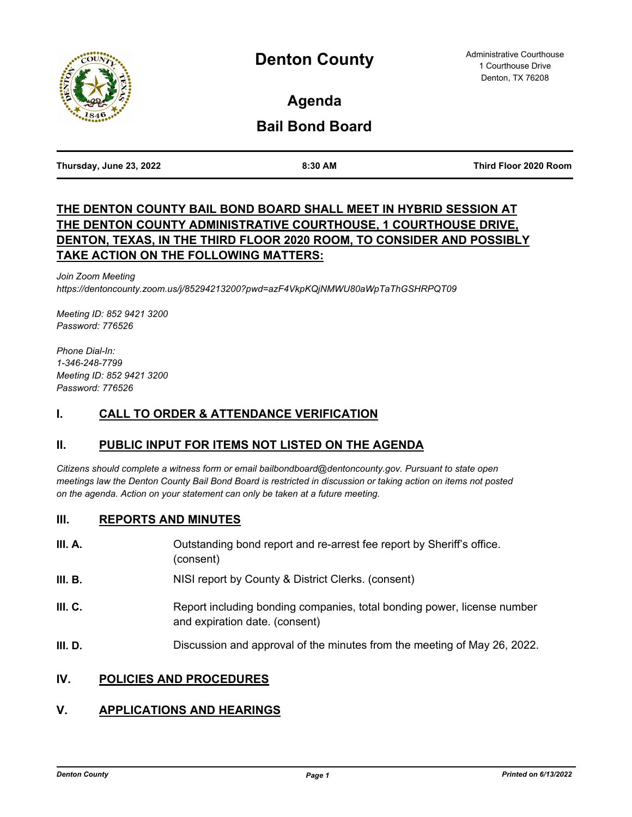

**Agenda**

# **Bail Bond Board**

**Thursday, June 23, 2022 8:30 AM Third Floor 2020 Room**

## **THE DENTON COUNTY BAIL BOND BOARD SHALL MEET IN HYBRID SESSION AT THE DENTON COUNTY ADMINISTRATIVE COURTHOUSE, 1 COURTHOUSE DRIVE, DENTON, TEXAS, IN THE THIRD FLOOR 2020 ROOM, TO CONSIDER AND POSSIBLY TAKE ACTION ON THE FOLLOWING MATTERS:**

*Join Zoom Meeting https://dentoncounty.zoom.us/j/85294213200?pwd=azF4VkpKQjNMWU80aWpTaThGSHRPQT09*

*Meeting ID: 852 9421 3200 Password: 776526*

*Phone Dial-In: 1-346-248-7799 Meeting ID: 852 9421 3200 Password: 776526*

## **I. CALL TO ORDER & ATTENDANCE VERIFICATION**

## **II. PUBLIC INPUT FOR ITEMS NOT LISTED ON THE AGENDA**

*Citizens should complete a witness form or email bailbondboard@dentoncounty.gov. Pursuant to state open meetings law the Denton County Bail Bond Board is restricted in discussion or taking action on items not posted on the agenda. Action on your statement can only be taken at a future meeting.*

#### **III. REPORTS AND MINUTES**

| III. A. | Outstanding bond report and re-arrest fee report by Sheriff's office.<br>(consent)                        |
|---------|-----------------------------------------------------------------------------------------------------------|
| III. B. | NISI report by County & District Clerks. (consent)                                                        |
| III. C. | Report including bonding companies, total bonding power, license number<br>and expiration date. (consent) |
| III. D. | Discussion and approval of the minutes from the meeting of May 26, 2022.                                  |

### **IV. POLICIES AND PROCEDURES**

# **V. APPLICATIONS AND HEARINGS**